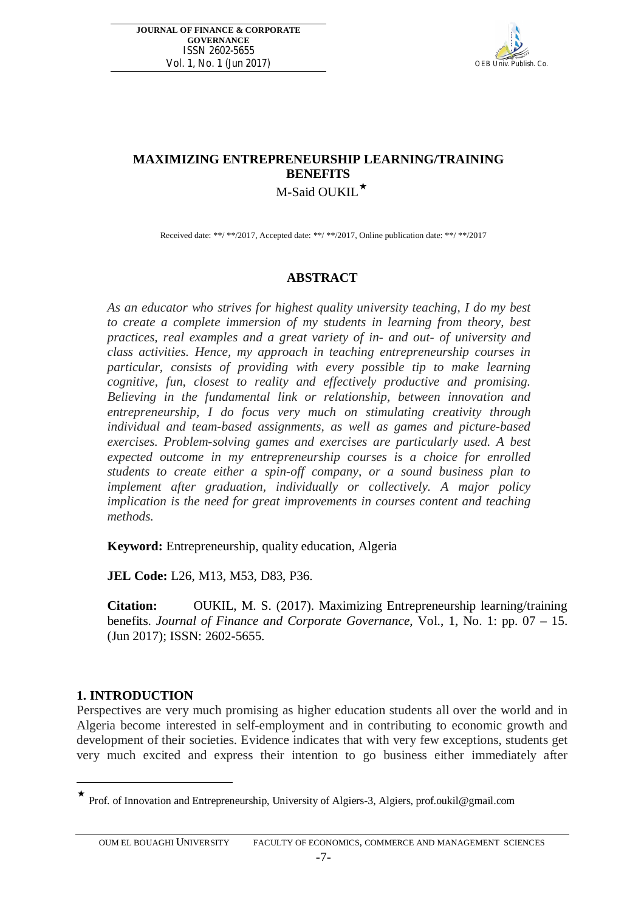

# **MAXIMIZING ENTREPRENEURSHIP LEARNING/TRAINING BENEFITS** M-Said OUKIL $\star$

Received date: \*\*/ \*\*/2017, Accepted date: \*\*/ \*\*/2017, Online publication date: \*\*/ \*\*/2017

### **ABSTRACT**

*As an educator who strives for highest quality university teaching, I do my best to create a complete immersion of my students in learning from theory, best practices, real examples and a great variety of in- and out- of university and class activities. Hence, my approach in teaching entrepreneurship courses in particular, consists of providing with every possible tip to make learning cognitive, fun, closest to reality and effectively productive and promising. Believing in the fundamental link or relationship, between innovation and entrepreneurship, I do focus very much on stimulating creativity through individual and team-based assignments, as well as games and picture-based exercises. Problem-solving games and exercises are particularly used. A best expected outcome in my entrepreneurship courses is a choice for enrolled students to create either a spin-off company, or a sound business plan to implement after graduation, individually or collectively. A major policy implication is the need for great improvements in courses content and teaching methods.* 

**Keyword:** Entrepreneurship, quality education, Algeria

**JEL Code:** L26, M13, M53, D83, P36.

**Citation:** OUKIL, M. S. (2017). Maximizing Entrepreneurship learning/training benefits. *Journal of Finance and Corporate Governance*, Vol., 1, No. 1: pp. 07 – 15. (Jun 2017); ISSN: 2602-5655.

#### **1. INTRODUCTION**

 $\overline{a}$ 

Perspectives are very much promising as higher education students all over the world and in Algeria become interested in self-employment and in contributing to economic growth and development of their societies. Evidence indicates that with very few exceptions, students get very much excited and express their intention to go business either immediately after

Prof. of Innovation and Entrepreneurship, University of Algiers-3, Algiers, prof.oukil@gmail.com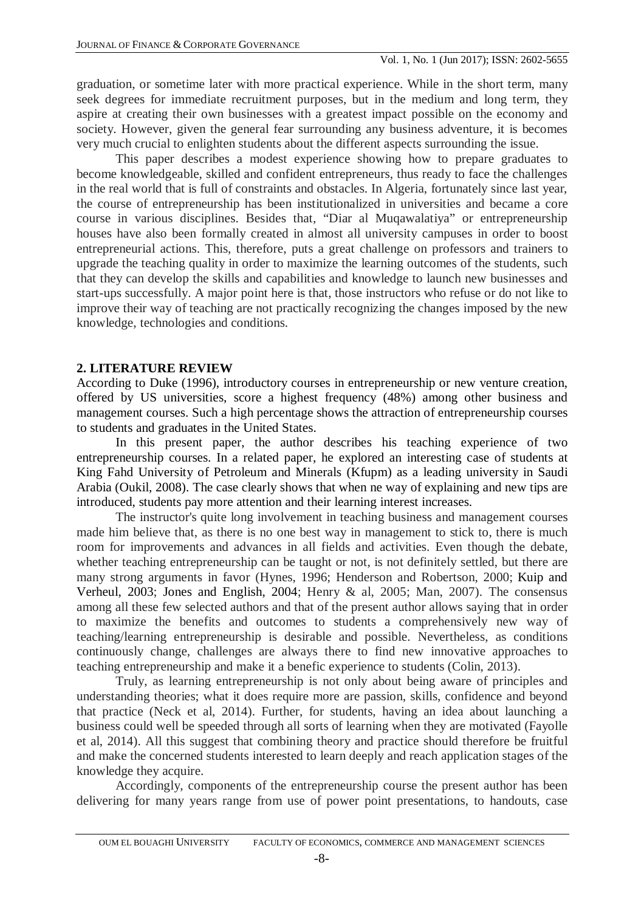graduation, or sometime later with more practical experience. While in the short term, many seek degrees for immediate recruitment purposes, but in the medium and long term, they aspire at creating their own businesses with a greatest impact possible on the economy and society. However, given the general fear surrounding any business adventure, it is becomes very much crucial to enlighten students about the different aspects surrounding the issue.

This paper describes a modest experience showing how to prepare graduates to become knowledgeable, skilled and confident entrepreneurs, thus ready to face the challenges in the real world that is full of constraints and obstacles. In Algeria, fortunately since last year, the course of entrepreneurship has been institutionalized in universities and became a core course in various disciplines. Besides that, "Diar al Muqawalatiya" or entrepreneurship houses have also been formally created in almost all university campuses in order to boost entrepreneurial actions. This, therefore, puts a great challenge on professors and trainers to upgrade the teaching quality in order to maximize the learning outcomes of the students, such that they can develop the skills and capabilities and knowledge to launch new businesses and start-ups successfully. A major point here is that, those instructors who refuse or do not like to improve their way of teaching are not practically recognizing the changes imposed by the new knowledge, technologies and conditions.

### **2. LITERATURE REVIEW**

According to Duke (1996), introductory courses in entrepreneurship or new venture creation, offered by US universities, score a highest frequency (48%) among other business and management courses. Such a high percentage shows the attraction of entrepreneurship courses to students and graduates in the United States.

In this present paper, the author describes his teaching experience of two entrepreneurship courses. In a related paper, he explored an interesting case of students at King Fahd University of Petroleum and Minerals (Kfupm) as a leading university in Saudi Arabia (Oukil, 2008). The case clearly shows that when ne way of explaining and new tips are introduced, students pay more attention and their learning interest increases.

The instructor's quite long involvement in teaching business and management courses made him believe that, as there is no one best way in management to stick to, there is much room for improvements and advances in all fields and activities. Even though the debate, whether teaching entrepreneurship can be taught or not, is not definitely settled, but there are many strong arguments in favor (Hynes, 1996; Henderson and Robertson, 2000; Kuip and Verheul, 2003; Jones and English, 2004; Henry & al, 2005; Man, 2007). The consensus among all these few selected authors and that of the present author allows saying that in order to maximize the benefits and outcomes to students a comprehensively new way of teaching/learning entrepreneurship is desirable and possible. Nevertheless, as conditions continuously change, challenges are always there to find new innovative approaches to teaching entrepreneurship and make it a benefic experience to students (Colin, 2013).

Truly, as learning entrepreneurship is not only about being aware of principles and understanding theories; what it does require more are passion, skills, confidence and beyond that practice (Neck et al, 2014). Further, for students, having an idea about launching a business could well be speeded through all sorts of learning when they are motivated (Fayolle et al, 2014). All this suggest that combining theory and practice should therefore be fruitful and make the concerned students interested to learn deeply and reach application stages of the knowledge they acquire.

Accordingly, components of the entrepreneurship course the present author has been delivering for many years range from use of power point presentations, to handouts, case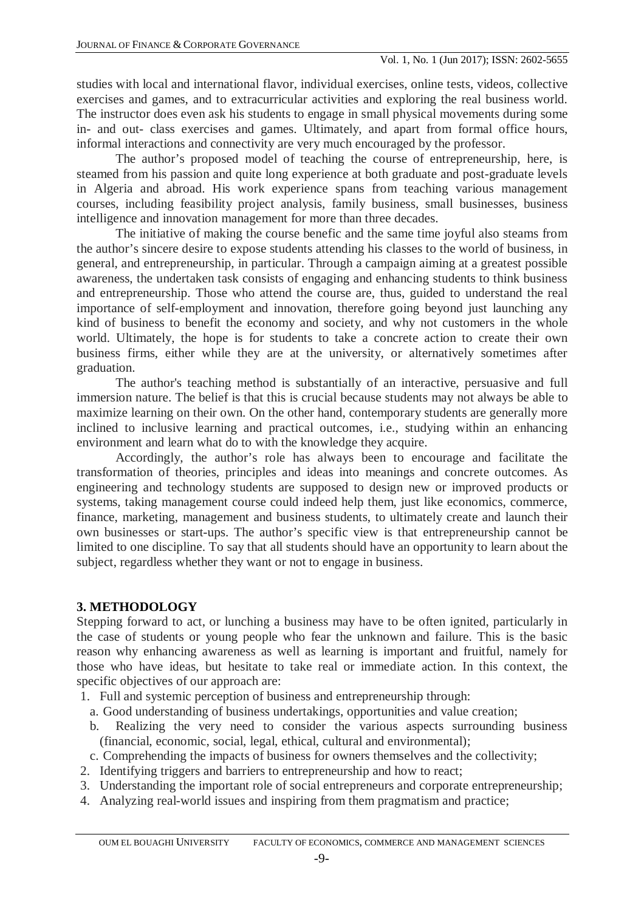studies with local and international flavor, individual exercises, online tests, videos, collective exercises and games, and to extracurricular activities and exploring the real business world. The instructor does even ask his students to engage in small physical movements during some in- and out- class exercises and games. Ultimately, and apart from formal office hours, informal interactions and connectivity are very much encouraged by the professor.

The author's proposed model of teaching the course of entrepreneurship, here, is steamed from his passion and quite long experience at both graduate and post-graduate levels in Algeria and abroad. His work experience spans from teaching various management courses, including feasibility project analysis, family business, small businesses, business intelligence and innovation management for more than three decades.

The initiative of making the course benefic and the same time joyful also steams from the author's sincere desire to expose students attending his classes to the world of business, in general, and entrepreneurship, in particular. Through a campaign aiming at a greatest possible awareness, the undertaken task consists of engaging and enhancing students to think business and entrepreneurship. Those who attend the course are, thus, guided to understand the real importance of self-employment and innovation, therefore going beyond just launching any kind of business to benefit the economy and society, and why not customers in the whole world. Ultimately, the hope is for students to take a concrete action to create their own business firms, either while they are at the university, or alternatively sometimes after graduation.

The author's teaching method is substantially of an interactive, persuasive and full immersion nature. The belief is that this is crucial because students may not always be able to maximize learning on their own. On the other hand, contemporary students are generally more inclined to inclusive learning and practical outcomes, i.e., studying within an enhancing environment and learn what do to with the knowledge they acquire.

Accordingly, the author's role has always been to encourage and facilitate the transformation of theories, principles and ideas into meanings and concrete outcomes. As engineering and technology students are supposed to design new or improved products or systems, taking management course could indeed help them, just like economics, commerce, finance, marketing, management and business students, to ultimately create and launch their own businesses or start-ups. The author's specific view is that entrepreneurship cannot be limited to one discipline. To say that all students should have an opportunity to learn about the subject, regardless whether they want or not to engage in business.

## **3. METHODOLOGY**

Stepping forward to act, or lunching a business may have to be often ignited, particularly in the case of students or young people who fear the unknown and failure. This is the basic reason why enhancing awareness as well as learning is important and fruitful, namely for those who have ideas, but hesitate to take real or immediate action. In this context, the specific objectives of our approach are:

- 1. Full and systemic perception of business and entrepreneurship through:
	- a. Good understanding of business undertakings, opportunities and value creation;
	- b. Realizing the very need to consider the various aspects surrounding business (financial, economic, social, legal, ethical, cultural and environmental);
- c. Comprehending the impacts of business for owners themselves and the collectivity;
- 2. Identifying triggers and barriers to entrepreneurship and how to react;
- 3. Understanding the important role of social entrepreneurs and corporate entrepreneurship;
- 4. Analyzing real-world issues and inspiring from them pragmatism and practice;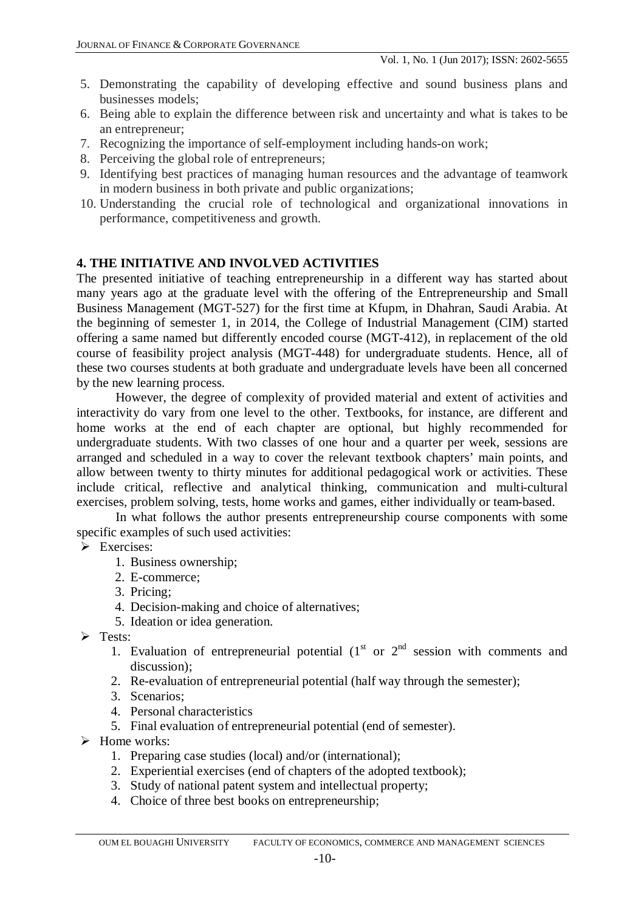- 5. Demonstrating the capability of developing effective and sound business plans and businesses models;
- 6. Being able to explain the difference between risk and uncertainty and what is takes to be an entrepreneur;
- 7. Recognizing the importance of self-employment including hands-on work;
- 8. Perceiving the global role of entrepreneurs;
- 9. Identifying best practices of managing human resources and the advantage of teamwork in modern business in both private and public organizations;
- 10. Understanding the crucial role of technological and organizational innovations in performance, competitiveness and growth.

# **4. THE INITIATIVE AND INVOLVED ACTIVITIES**

The presented initiative of teaching entrepreneurship in a different way has started about many years ago at the graduate level with the offering of the Entrepreneurship and Small Business Management (MGT-527) for the first time at Kfupm, in Dhahran, Saudi Arabia. At the beginning of semester 1, in 2014, the College of Industrial Management (CIM) started offering a same named but differently encoded course (MGT-412), in replacement of the old course of feasibility project analysis (MGT-448) for undergraduate students. Hence, all of these two courses students at both graduate and undergraduate levels have been all concerned by the new learning process.

However, the degree of complexity of provided material and extent of activities and interactivity do vary from one level to the other. Textbooks, for instance, are different and home works at the end of each chapter are optional, but highly recommended for undergraduate students. With two classes of one hour and a quarter per week, sessions are arranged and scheduled in a way to cover the relevant textbook chapters' main points, and allow between twenty to thirty minutes for additional pedagogical work or activities. These include critical, reflective and analytical thinking, communication and multi-cultural exercises, problem solving, tests, home works and games, either individually or team-based.

In what follows the author presents entrepreneurship course components with some specific examples of such used activities:

- Exercises:
	- 1. Business ownership;
	- 2. E-commerce;
	- 3. Pricing;
	- 4. Decision-making and choice of alternatives;
	- 5. Ideation or idea generation.
- $\triangleright$  Tests:
	- 1. Evaluation of entrepreneurial potential  $(1<sup>st</sup> or 2<sup>nd</sup> session with comments and)$ discussion);
	- 2. Re-evaluation of entrepreneurial potential (half way through the semester);
	- 3. Scenarios;
	- 4. Personal characteristics
	- 5. Final evaluation of entrepreneurial potential (end of semester).
- $\triangleright$  Home works:
	- 1. Preparing case studies (local) and/or (international);
	- 2. Experiential exercises (end of chapters of the adopted textbook);
	- 3. Study of national patent system and intellectual property;
	- 4. Choice of three best books on entrepreneurship;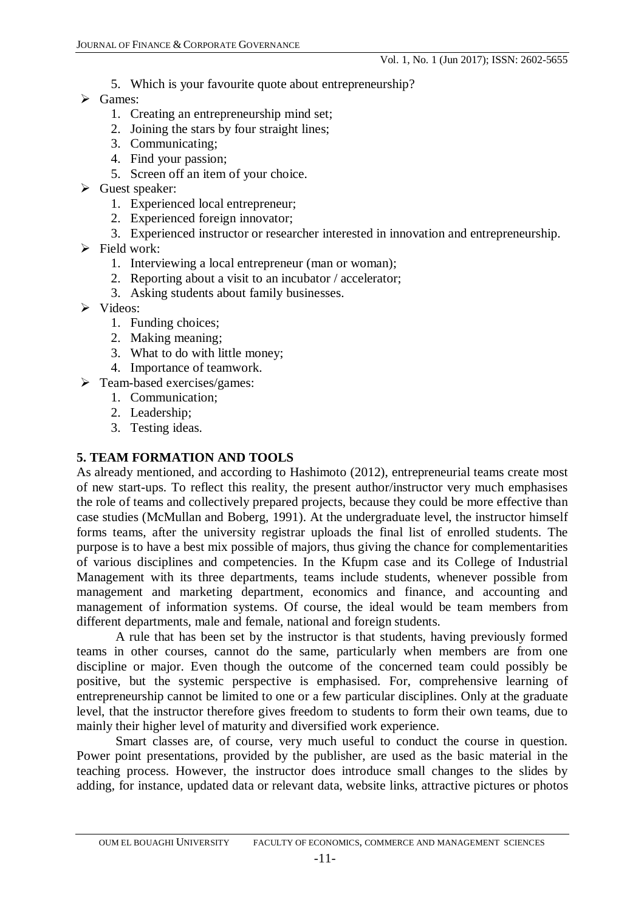- 5. Which is your favourite quote about entrepreneurship?
- $\triangleright$  Games:
	- 1. Creating an entrepreneurship mind set;
	- 2. Joining the stars by four straight lines;
	- 3. Communicating;
	- 4. Find your passion;
	- 5. Screen off an item of your choice.
- $\triangleright$  Guest speaker:
	- 1. Experienced local entrepreneur;
	- 2. Experienced foreign innovator;
	- 3. Experienced instructor or researcher interested in innovation and entrepreneurship.
- $\triangleright$  Field work:
	- 1. Interviewing a local entrepreneur (man or woman);
	- 2. Reporting about a visit to an incubator / accelerator;
	- 3. Asking students about family businesses.
- $\triangleright$  Videos:
	- 1. Funding choices;
	- 2. Making meaning;
	- 3. What to do with little money;
	- 4. Importance of teamwork.
- > Team-based exercises/games:
	- 1. Communication;
	- 2. Leadership;
	- 3. Testing ideas.

# **5. TEAM FORMATION AND TOOLS**

As already mentioned, and according to Hashimoto (2012), entrepreneurial teams create most of new start-ups. To reflect this reality, the present author/instructor very much emphasises the role of teams and collectively prepared projects, because they could be more effective than case studies (McMullan and Boberg, 1991). At the undergraduate level, the instructor himself forms teams, after the university registrar uploads the final list of enrolled students. The purpose is to have a best mix possible of majors, thus giving the chance for complementarities of various disciplines and competencies. In the Kfupm case and its College of Industrial Management with its three departments, teams include students, whenever possible from management and marketing department, economics and finance, and accounting and management of information systems. Of course, the ideal would be team members from different departments, male and female, national and foreign students.

A rule that has been set by the instructor is that students, having previously formed teams in other courses, cannot do the same, particularly when members are from one discipline or major. Even though the outcome of the concerned team could possibly be positive, but the systemic perspective is emphasised. For, comprehensive learning of entrepreneurship cannot be limited to one or a few particular disciplines. Only at the graduate level, that the instructor therefore gives freedom to students to form their own teams, due to mainly their higher level of maturity and diversified work experience.

Smart classes are, of course, very much useful to conduct the course in question. Power point presentations, provided by the publisher, are used as the basic material in the teaching process. However, the instructor does introduce small changes to the slides by adding, for instance, updated data or relevant data, website links, attractive pictures or photos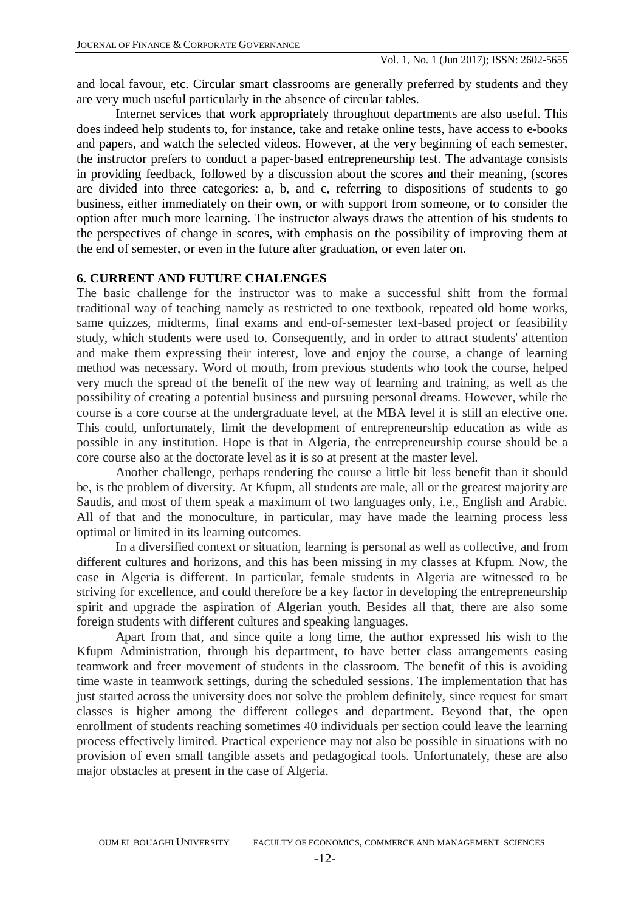and local favour, etc. Circular smart classrooms are generally preferred by students and they are very much useful particularly in the absence of circular tables.

Internet services that work appropriately throughout departments are also useful. This does indeed help students to, for instance, take and retake online tests, have access to e-books and papers, and watch the selected videos. However, at the very beginning of each semester, the instructor prefers to conduct a paper-based entrepreneurship test. The advantage consists in providing feedback, followed by a discussion about the scores and their meaning, (scores are divided into three categories: a, b, and c, referring to dispositions of students to go business, either immediately on their own, or with support from someone, or to consider the option after much more learning. The instructor always draws the attention of his students to the perspectives of change in scores, with emphasis on the possibility of improving them at the end of semester, or even in the future after graduation, or even later on.

### **6. CURRENT AND FUTURE CHALENGES**

The basic challenge for the instructor was to make a successful shift from the formal traditional way of teaching namely as restricted to one textbook, repeated old home works, same quizzes, midterms, final exams and end-of-semester text-based project or feasibility study, which students were used to. Consequently, and in order to attract students' attention and make them expressing their interest, love and enjoy the course, a change of learning method was necessary. Word of mouth, from previous students who took the course, helped very much the spread of the benefit of the new way of learning and training, as well as the possibility of creating a potential business and pursuing personal dreams. However, while the course is a core course at the undergraduate level, at the MBA level it is still an elective one. This could, unfortunately, limit the development of entrepreneurship education as wide as possible in any institution. Hope is that in Algeria, the entrepreneurship course should be a core course also at the doctorate level as it is so at present at the master level.

Another challenge, perhaps rendering the course a little bit less benefit than it should be, is the problem of diversity. At Kfupm, all students are male, all or the greatest majority are Saudis, and most of them speak a maximum of two languages only, i.e., English and Arabic. All of that and the monoculture, in particular, may have made the learning process less optimal or limited in its learning outcomes.

In a diversified context or situation, learning is personal as well as collective, and from different cultures and horizons, and this has been missing in my classes at Kfupm. Now, the case in Algeria is different. In particular, female students in Algeria are witnessed to be striving for excellence, and could therefore be a key factor in developing the entrepreneurship spirit and upgrade the aspiration of Algerian youth. Besides all that, there are also some foreign students with different cultures and speaking languages.

Apart from that, and since quite a long time, the author expressed his wish to the Kfupm Administration, through his department, to have better class arrangements easing teamwork and freer movement of students in the classroom. The benefit of this is avoiding time waste in teamwork settings, during the scheduled sessions. The implementation that has just started across the university does not solve the problem definitely, since request for smart classes is higher among the different colleges and department. Beyond that, the open enrollment of students reaching sometimes 40 individuals per section could leave the learning process effectively limited. Practical experience may not also be possible in situations with no provision of even small tangible assets and pedagogical tools. Unfortunately, these are also major obstacles at present in the case of Algeria.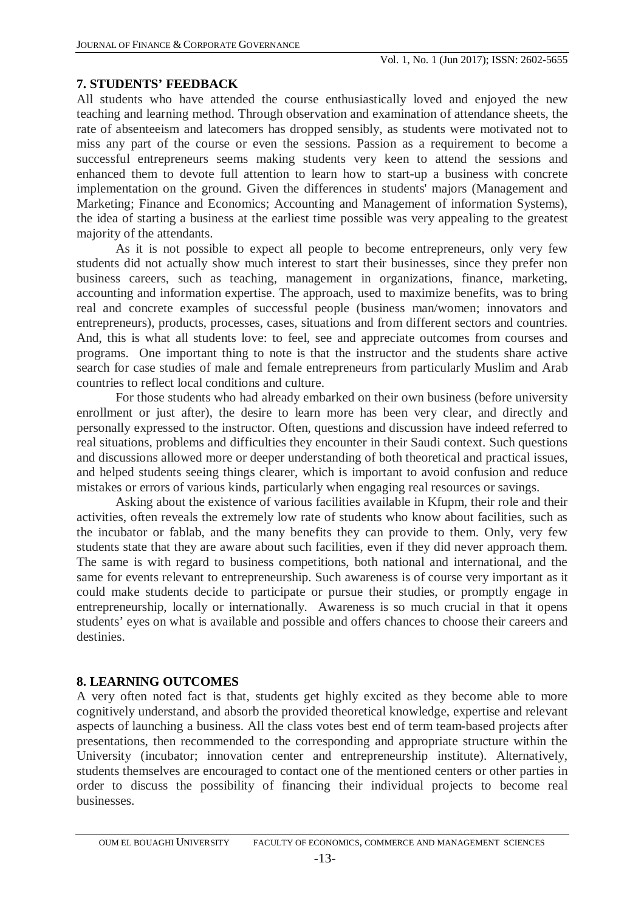### **7. STUDENTS' FEEDBACK**

All students who have attended the course enthusiastically loved and enjoyed the new teaching and learning method. Through observation and examination of attendance sheets, the rate of absenteeism and latecomers has dropped sensibly, as students were motivated not to miss any part of the course or even the sessions. Passion as a requirement to become a successful entrepreneurs seems making students very keen to attend the sessions and enhanced them to devote full attention to learn how to start-up a business with concrete implementation on the ground. Given the differences in students' majors (Management and Marketing; Finance and Economics; Accounting and Management of information Systems), the idea of starting a business at the earliest time possible was very appealing to the greatest majority of the attendants.

As it is not possible to expect all people to become entrepreneurs, only very few students did not actually show much interest to start their businesses, since they prefer non business careers, such as teaching, management in organizations, finance, marketing, accounting and information expertise. The approach, used to maximize benefits, was to bring real and concrete examples of successful people (business man/women; innovators and entrepreneurs), products, processes, cases, situations and from different sectors and countries. And, this is what all students love: to feel, see and appreciate outcomes from courses and programs. One important thing to note is that the instructor and the students share active search for case studies of male and female entrepreneurs from particularly Muslim and Arab countries to reflect local conditions and culture.

For those students who had already embarked on their own business (before university enrollment or just after), the desire to learn more has been very clear, and directly and personally expressed to the instructor. Often, questions and discussion have indeed referred to real situations, problems and difficulties they encounter in their Saudi context. Such questions and discussions allowed more or deeper understanding of both theoretical and practical issues, and helped students seeing things clearer, which is important to avoid confusion and reduce mistakes or errors of various kinds, particularly when engaging real resources or savings.

Asking about the existence of various facilities available in Kfupm, their role and their activities, often reveals the extremely low rate of students who know about facilities, such as the incubator or fablab, and the many benefits they can provide to them. Only, very few students state that they are aware about such facilities, even if they did never approach them. The same is with regard to business competitions, both national and international, and the same for events relevant to entrepreneurship. Such awareness is of course very important as it could make students decide to participate or pursue their studies, or promptly engage in entrepreneurship, locally or internationally. Awareness is so much crucial in that it opens students' eyes on what is available and possible and offers chances to choose their careers and destinies.

## **8. LEARNING OUTCOMES**

A very often noted fact is that, students get highly excited as they become able to more cognitively understand, and absorb the provided theoretical knowledge, expertise and relevant aspects of launching a business. All the class votes best end of term team-based projects after presentations, then recommended to the corresponding and appropriate structure within the University (incubator; innovation center and entrepreneurship institute). Alternatively, students themselves are encouraged to contact one of the mentioned centers or other parties in order to discuss the possibility of financing their individual projects to become real businesses.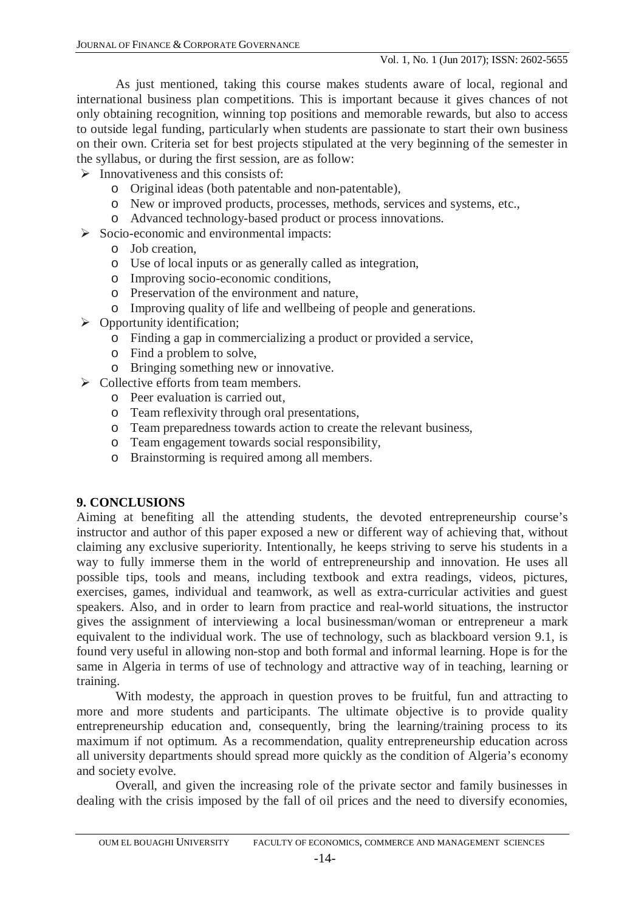As just mentioned, taking this course makes students aware of local, regional and international business plan competitions. This is important because it gives chances of not only obtaining recognition, winning top positions and memorable rewards, but also to access to outside legal funding, particularly when students are passionate to start their own business on their own. Criteria set for best projects stipulated at the very beginning of the semester in the syllabus, or during the first session, are as follow:

- $\triangleright$  Innovativeness and this consists of:
	- o Original ideas (both patentable and non-patentable),
	- o New or improved products, processes, methods, services and systems, etc.,
	- o Advanced technology-based product or process innovations.
- $\triangleright$  Socio-economic and environmental impacts:
	- o Job creation,
	- o Use of local inputs or as generally called as integration,
	- o Improving socio-economic conditions,
	- o Preservation of the environment and nature,
	- o Improving quality of life and wellbeing of people and generations.
- $\triangleright$  Opportunity identification;
	- o Finding a gap in commercializing a product or provided a service,
	- o Find a problem to solve,
	- o Bringing something new or innovative.
- $\triangleright$  Collective efforts from team members.
	- o Peer evaluation is carried out,
	- o Team reflexivity through oral presentations,
	- o Team preparedness towards action to create the relevant business,
	- o Team engagement towards social responsibility,
	- o Brainstorming is required among all members.

## **9. CONCLUSIONS**

Aiming at benefiting all the attending students, the devoted entrepreneurship course's instructor and author of this paper exposed a new or different way of achieving that, without claiming any exclusive superiority. Intentionally, he keeps striving to serve his students in a way to fully immerse them in the world of entrepreneurship and innovation. He uses all possible tips, tools and means, including textbook and extra readings, videos, pictures, exercises, games, individual and teamwork, as well as extra-curricular activities and guest speakers. Also, and in order to learn from practice and real-world situations, the instructor gives the assignment of interviewing a local businessman/woman or entrepreneur a mark equivalent to the individual work. The use of technology, such as blackboard version 9.1, is found very useful in allowing non-stop and both formal and informal learning. Hope is for the same in Algeria in terms of use of technology and attractive way of in teaching, learning or training.

With modesty, the approach in question proves to be fruitful, fun and attracting to more and more students and participants. The ultimate objective is to provide quality entrepreneurship education and, consequently, bring the learning/training process to its maximum if not optimum. As a recommendation, quality entrepreneurship education across all university departments should spread more quickly as the condition of Algeria's economy and society evolve.

Overall, and given the increasing role of the private sector and family businesses in dealing with the crisis imposed by the fall of oil prices and the need to diversify economies,